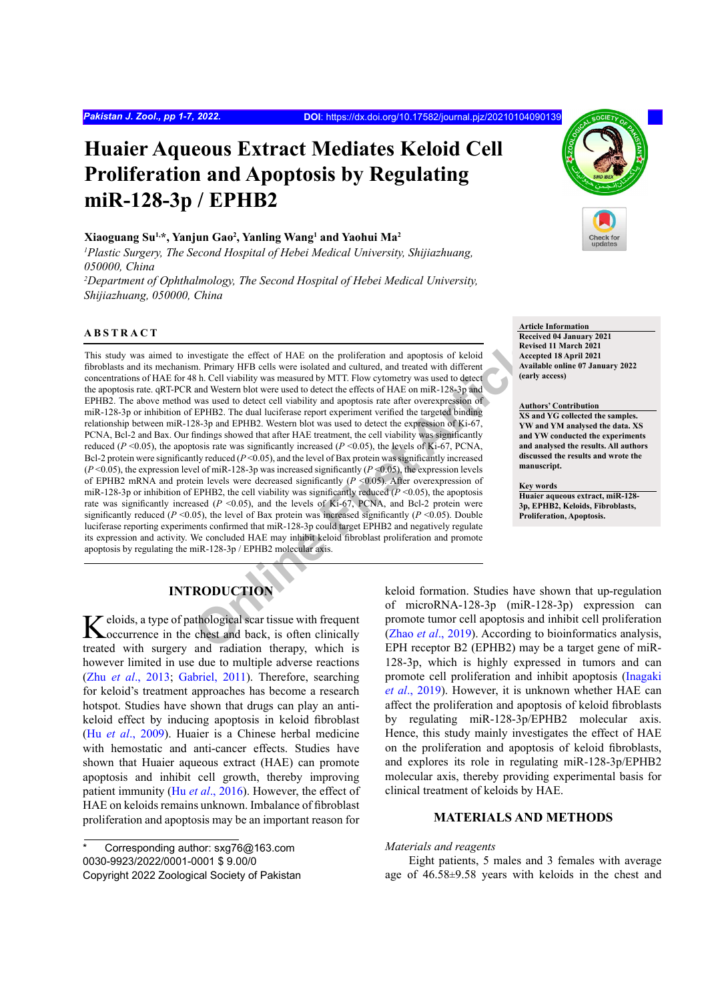# **Huaier Aqueous Extract Mediates Keloid Cell Proliferation and Apoptosis by Regulating miR-128-3p / EPHB2**

#### **Xiaoguang Su1,\*, Yanjun Gao2 , Yanling Wang1 and Yaohui Ma2**

*1 Plastic Surgery, The Second Hospital of Hebei Medical University, Shijiazhuang, 050000, China*

*2 Department of Ophthalmology, The Second Hospital of Hebei Medical University, Shijiazhuang, 050000, China*

### **ABSTRACT**

**Online First Article** This study was aimed to investigate the effect of HAE on the proliferation and apoptosis of keloid fibroblasts and its mechanism. Primary HFB cells were isolated and cultured, and treated with different concentrations of HAE for 48 h. Cell viability was measured by MTT. Flow cytometry was used to detect the apoptosis rate. qRT-PCR and Western blot were used to detect the effects of HAE on miR-128-3p and EPHB2. The above method was used to detect cell viability and apoptosis rate after overexpression of miR-128-3p or inhibition of EPHB2. The dual luciferase report experiment verified the targeted binding relationship between miR-128-3p and EPHB2. Western blot was used to detect the expression of Ki-67, PCNA, Bcl-2 and Bax. Our findings showed that after HAE treatment, the cell viability was significantly reduced ( $P \le 0.05$ ), the apoptosis rate was significantly increased ( $P \le 0.05$ ), the levels of Ki-67, PCNA, Bcl-2 protein were significantly reduced (*P* <0.05), and the level of Bax protein was significantly increased (*P* <0.05), the expression level of miR-128-3p was increased significantly (*P* <0.05), the expression levels of EPHB2 mRNA and protein levels were decreased significantly (*P* <0.05). After overexpression of miR-128-3p or inhibition of EPHB2, the cell viability was significantly reduced  $(P \le 0.05)$ , the apoptosis rate was significantly increased (*P* <0.05), and the levels of Ki-67, PCNA, and Bcl-2 protein were significantly reduced ( $P \le 0.05$ ), the level of Bax protein was increased significantly ( $P \le 0.05$ ). Double luciferase reporting experiments confirmed that miR-128-3p could target EPHB2 and negatively regulate its expression and activity. We concluded HAE may inhibit keloid fibroblast proliferation and promote apoptosis by regulating the miR-128-3p / EPHB2 molecular axis.

#### **Article Information**

**Received 04 January 2021 Revised 11 March 2021 Accepted 18 April 2021 Available online 07 January 2022 (early access)**

#### **Authors' Contribution**

**XS and YG collected the samples. YW and YM analysed the data. XS and YW conducted the experiments and analysed the results. All authors discussed the results and wrote the manuscript.**

**Key words**

**Huaier aqueous extract, miR-128- 3p, EPHB2, Keloids, Fibroblasts, Proliferation, Apoptosis.**

# **INTRODUCTION**

Keloids, a type of pathological scar tissue with frequent concentrence in the chest and back, is often clinically treated with surgery and radiation therapy, which is however limited in use due to multiple adverse reactions (Zhu *et al*[., 2013](#page-6-0); [Gabriel, 2011](#page-5-0)). Therefore, searching for keloid's treatment approaches has become a research hotspot. Studies have shown that drugs can play an antikeloid effect by inducing apoptosis in keloid fibroblast (Hu *et al*[., 2009](#page-5-1)). Huaier is a Chinese herbal medicine with hemostatic and anti-cancer effects. Studies have shown that Huaier aqueous extract (HAE) can promote apoptosis and inhibit cell growth, thereby improving patient immunity (Hu *et al*[., 2016](#page-5-2)). However, the effect of HAE on keloids remains unknown. Imbalance of fibroblast proliferation and apoptosis may be an important reason for

keloid formation. Studies have shown that up-regulation of microRNA-128-3p (miR-128-3p) expression can promote tumor cell apoptosis and inhibit cell proliferation (Zhao *et al*., 2019). According to bioinformatics analysis, EPH receptor B2 (EPHB2) may be a target gene of miR-128-3p, which is highly expressed in tumors and can promote cell proliferation and inhibit apoptosis [\(Inagaki](#page-5-3) *et al*[., 2019](#page-5-3)). However, it is unknown whether HAE can affect the proliferation and apoptosis of keloid fibroblasts by regulating miR-128-3p/EPHB2 molecular axis. Hence, this study mainly investigates the effect of HAE on the proliferation and apoptosis of keloid fibroblasts, and explores its role in regulating miR-128-3p/EPHB2 molecular axis, thereby providing experimental basis for clinical treatment of keloids by HAE.

#### **MATERIALS AND METHODS**

#### *Materials and reagents*

Eight patients, 5 males and 3 females with average age of 46.58±9.58 years with keloids in the chest and

Corresponding author: sxg76@163.com 0030-9923/2022/0001-0001 \$ 9.00/0 Copyright 2022 Zoological Society of Pakistan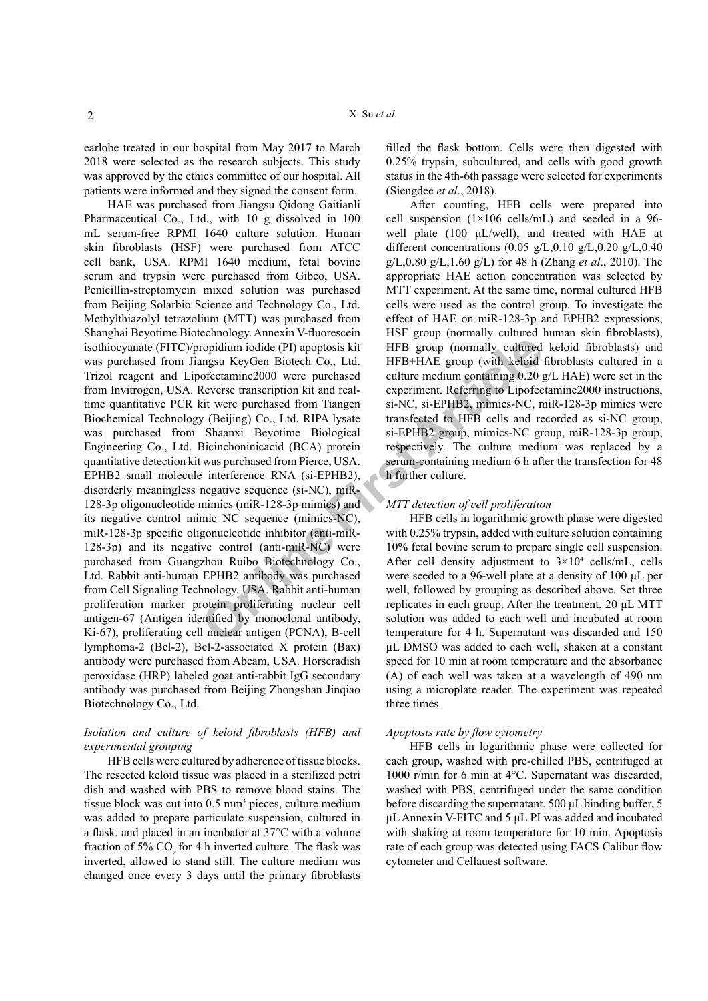earlobe treated in our hospital from May 2017 to March 2018 were selected as the research subjects. This study was approved by the ethics committee of our hospital. All patients were informed and they signed the consent form.

**Online First Article** HAE was purchased from Jiangsu Qidong Gaitianli Pharmaceutical Co., Ltd., with 10 g dissolved in 100 mL serum-free RPMI 1640 culture solution. Human skin fibroblasts (HSF) were purchased from ATCC cell bank, USA. RPMI 1640 medium, fetal bovine serum and trypsin were purchased from Gibco, USA. Penicillin-streptomycin mixed solution was purchased from Beijing Solarbio Science and Technology Co., Ltd. Methylthiazolyl tetrazolium (MTT) was purchased from Shanghai Beyotime Biotechnology. Annexin V-fluorescein isothiocyanate (FITC)/propidium iodide (PI) apoptosis kit was purchased from Jiangsu KeyGen Biotech Co., Ltd. Trizol reagent and Lipofectamine2000 were purchased from Invitrogen, USA. Reverse transcription kit and realtime quantitative PCR kit were purchased from Tiangen Biochemical Technology (Beijing) Co., Ltd. RIPA lysate was purchased from Shaanxi Beyotime Biological Engineering Co., Ltd. Bicinchoninicacid (BCA) protein quantitative detection kit was purchased from Pierce, USA. EPHB2 small molecule interference RNA (si-EPHB2), disorderly meaningless negative sequence (si-NC), miR-128-3p oligonucleotide mimics (miR-128-3p mimics) and its negative control mimic NC sequence (mimics-NC), miR-128-3p specific oligonucleotide inhibitor (anti-miR-128-3p) and its negative control (anti-miR-NC) were purchased from Guangzhou Ruibo Biotechnology Co., Ltd. Rabbit anti-human EPHB2 antibody was purchased from Cell Signaling Technology, USA. Rabbit anti-human proliferation marker protein proliferating nuclear cell antigen-67 (Antigen identified by monoclonal antibody, Ki-67), proliferating cell nuclear antigen (PCNA), B-cell lymphoma-2 (Bcl-2), Bcl-2-associated X protein (Bax) antibody were purchased from Abcam, USA. Horseradish peroxidase (HRP) labeled goat anti-rabbit IgG secondary antibody was purchased from Beijing Zhongshan Jinqiao Biotechnology Co., Ltd.

#### *Isolation and culture of keloid fibroblasts (HFB) and experimental grouping*

HFB cells were cultured by adherence of tissue blocks. The resected keloid tissue was placed in a sterilized petri dish and washed with PBS to remove blood stains. The tissue block was cut into 0.5 mm<sup>3</sup> pieces, culture medium was added to prepare particulate suspension, cultured in a flask, and placed in an incubator at 37°C with a volume fraction of  $5\%$  CO<sub>2</sub> for 4 h inverted culture. The flask was inverted, allowed to stand still. The culture medium was changed once every 3 days until the primary fibroblasts

filled the flask bottom. Cells were then digested with 0.25% trypsin, subcultured, and cells with good growth status in the 4th-6th passage were selected for experiments (Siengdee *et al*., 2018).

After counting, HFB cells were prepared into cell suspension  $(1\times106 \text{ cells/mL})$  and seeded in a 96well plate (100 μL/well), and treated with HAE at different concentrations (0.05 g/L,0.10 g/L,0.20 g/L,0.40 g/L,0.80 g/L,1.60 g/L) for 48 h (Zhang *et al*., 2010). The appropriate HAE action concentration was selected by MTT experiment. At the same time, normal cultured HFB cells were used as the control group. To investigate the effect of HAE on miR-128-3p and EPHB2 expressions, HSF group (normally cultured human skin fibroblasts), HFB group (normally cultured keloid fibroblasts) and HFB+HAE group (with keloid fibroblasts cultured in a culture medium containing 0.20 g/L HAE) were set in the experiment. Referring to Lipofectamine2000 instructions, si-NC, si-EPHB2, mimics-NC, miR-128-3p mimics were transfected to HFB cells and recorded as si-NC group, si-EPHB2 group, mimics-NC group, miR-128-3p group, respectively. The culture medium was replaced by a serum-containing medium 6 h after the transfection for 48 h further culture.

#### *MTT detection of cell proliferation*

HFB cells in logarithmic growth phase were digested with 0.25% trypsin, added with culture solution containing 10% fetal bovine serum to prepare single cell suspension. After cell density adjustment to  $3 \times 10^4$  cells/mL, cells were seeded to a 96-well plate at a density of 100 μL per well, followed by grouping as described above. Set three replicates in each group. After the treatment, 20 μL MTT solution was added to each well and incubated at room temperature for 4 h. Supernatant was discarded and 150 μL DMSO was added to each well, shaken at a constant speed for 10 min at room temperature and the absorbance (A) of each well was taken at a wavelength of 490 nm using a microplate reader. The experiment was repeated three times.

#### *Apoptosis rate by flow cytometry*

HFB cells in logarithmic phase were collected for each group, washed with pre-chilled PBS, centrifuged at 1000 r/min for 6 min at 4°C. Supernatant was discarded, washed with PBS, centrifuged under the same condition before discarding the supernatant. 500 μL binding buffer, 5 μL Annexin V-FITC and 5 μL PI was added and incubated with shaking at room temperature for 10 min. Apoptosis rate of each group was detected using FACS Calibur flow cytometer and Cellauest software.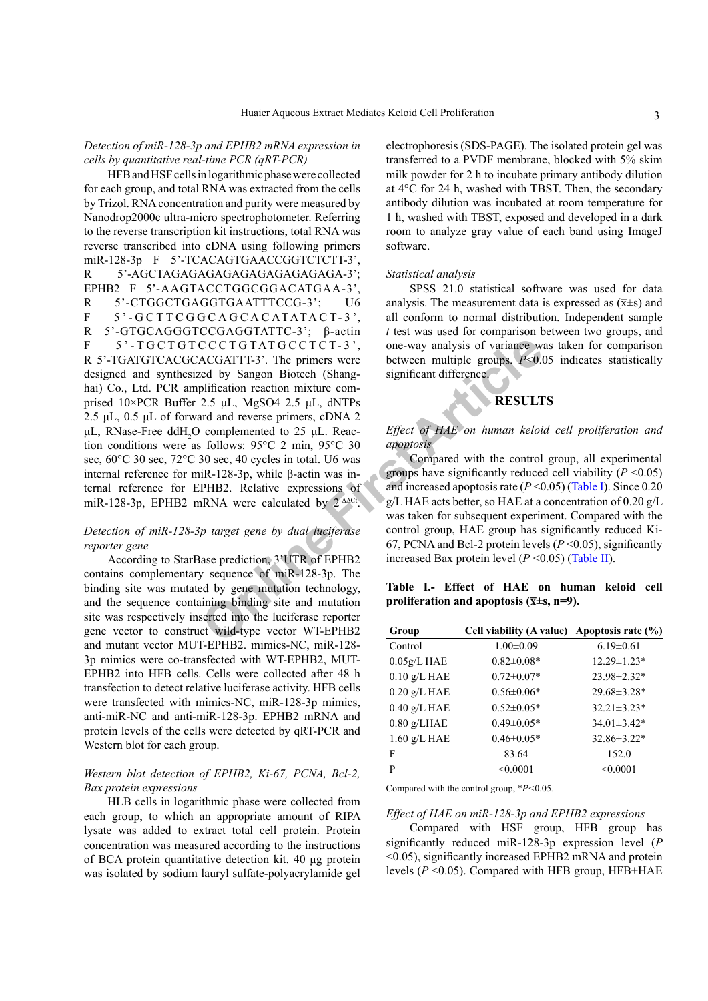#### *Detection of miR-128-3p and EPHB2 mRNA expression in cells by quantitative real-time PCR (qRT-PCR)*

CCCTGTATGCCTCT-3<sup>2</sup>, one-way analysis of variance w.<br>
ACGATTT-3<sup>2</sup>. The primers were<br>
between multiple groups. P<0.<br>
Diffication reaction mixture com-<br>
between multiple groups. P<0.<br>
Diffication reaction mixture com-<br>
dif HFB and HSF cells in logarithmic phase were collected for each group, and total RNA was extracted from the cells by Trizol. RNA concentration and purity were measured by Nanodrop2000c ultra-micro spectrophotometer. Referring to the reverse transcription kit instructions, total RNA was reverse transcribed into cDNA using following primers miR-128-3p F 5'-TCACAGTGAACCGGTCTCTT-3'. R 5'-AGCTAGAGAGAGAGAGAGAGAGAGA-3'; EPHB2 F 5'-AAGTACCTGGCGGACATGAA-3', R 5'-CTGGCTGAGGTGAATTTCCG-3'; U6 F 5 ' - G C T T C G G C A G C A C ATATA C T- 3 ', R 5'-GTGCAGGGTCCGAGGTATTC-3'; β-actin F 5'-TGCTGTCCCTGTATGCCTCT-3', R 5'-TGATGTCACGCACGATTT-3'. The primers were designed and synthesized by Sangon Biotech (Shanghai) Co., Ltd. PCR amplification reaction mixture comprised 10×PCR Buffer 2.5 μL, MgSO4 2.5 μL, dNTPs 2.5 μL, 0.5 μL of forward and reverse primers, cDNA 2 μL, RNase-Free ddH<sub>2</sub>O complemented to 25 μL. Reaction conditions were as follows: 95°C 2 min, 95°C 30 sec,  $60^{\circ}$ C 30 sec,  $72^{\circ}$ C 30 sec, 40 cycles in total. U6 was internal reference for miR-128-3p, while β-actin was internal reference for EPHB2. Relative expressions of miR-128-3p, EPHB2 mRNA were calculated by 2-ΔΔCt.

#### *Detection of miR-128-3p target gene by dual luciferase reporter gene*

According to StarBase prediction, 3'UTR of EPHB2 contains complementary sequence of miR-128-3p. The binding site was mutated by gene mutation technology, and the sequence containing binding site and mutation site was respectively inserted into the luciferase reporter gene vector to construct wild-type vector WT-EPHB2 and mutant vector MUT-EPHB2. mimics-NC, miR-128- 3p mimics were co-transfected with WT-EPHB2, MUT-EPHB2 into HFB cells. Cells were collected after 48 h transfection to detect relative luciferase activity. HFB cells were transfected with mimics-NC, miR-128-3p mimics, anti-miR-NC and anti-miR-128-3p. EPHB2 mRNA and protein levels of the cells were detected by qRT-PCR and Western blot for each group.

#### *Western blot detection of EPHB2, Ki-67, PCNA, Bcl-2, Bax protein expressions*

HLB cells in logarithmic phase were collected from each group, to which an appropriate amount of RIPA lysate was added to extract total cell protein. Protein concentration was measured according to the instructions of BCA protein quantitative detection kit. 40 μg protein was isolated by sodium lauryl sulfate-polyacrylamide gel

electrophoresis (SDS-PAGE). The isolated protein gel was transferred to a PVDF membrane, blocked with 5% skim milk powder for 2 h to incubate primary antibody dilution at 4°C for 24 h, washed with TBST. Then, the secondary antibody dilution was incubated at room temperature for 1 h, washed with TBST, exposed and developed in a dark room to analyze gray value of each band using ImageJ software.

#### *Statistical analysis*

SPSS 21.0 statistical software was used for data analysis. The measurement data is expressed as  $(\overline{x} \pm s)$  and all conform to normal distribution. Independent sample *t* test was used for comparison between two groups, and one-way analysis of variance was taken for comparison between multiple groups. *P*<0.05 indicates statistically significant difference.

## **RESULTS**

#### *Effect of HAE on human keloid cell proliferation and apoptosis*

Compared with the control group, all experimental groups have significantly reduced cell viability  $(P \le 0.05)$ and increased apoptosis rate  $(P<0.05)$  [\(Table](#page-2-0) I). Since 0.20 g/L HAE acts better, so HAE at a concentration of 0.20 g/L was taken for subsequent experiment. Compared with the control group, HAE group has significantly reduced Ki-67, PCNA and Bcl-2 protein levels (*P* <0.05), significantly increased Bax protein level  $(P \le 0.05)$  ([Table](#page-3-0) II).

<span id="page-2-0"></span>**Table I.- Effect of HAE on human keloid cell proliferation and apoptosis (** $\overline{x} \pm s$ **, n=9).** 

| Group          | Cell viability (A value) Apoptosis rate (%) |                   |
|----------------|---------------------------------------------|-------------------|
| Control        | $1.00 \pm 0.09$                             | $6.19 \pm 0.61$   |
| $0.05g/L$ HAE  | $0.82 \pm 0.08*$                            | $12.29 \pm 1.23*$ |
| $0.10$ g/L HAE | $0.72 \pm 0.07*$                            | $23.98 \pm 2.32*$ |
| $0.20$ g/L HAE | $0.56 \pm 0.06*$                            | 29.68±3.28*       |
| $0.40$ g/L HAE | $0.52 \pm 0.05*$                            | $32.21 \pm 3.23*$ |
| $0.80$ g/LHAE  | $0.49 \pm 0.05*$                            | $34.01 \pm 3.42*$ |
| $1.60$ g/L HAE | $0.46 \pm 0.05*$                            | $32.86\pm3.22*$   |
| F              | 83.64                                       | 152.0             |
| P              | < 0.0001                                    | < 0.0001          |

Compared with the control group, \**P<*0.05*.*

#### *Effect of HAE on miR-128-3p and EPHB2 expressions*

Compared with HSF group, HFB group has significantly reduced miR-128-3p expression level (*P*  <0.05), significantly increased EPHB2 mRNA and protein levels (*P* <0.05). Compared with HFB group, HFB+HAE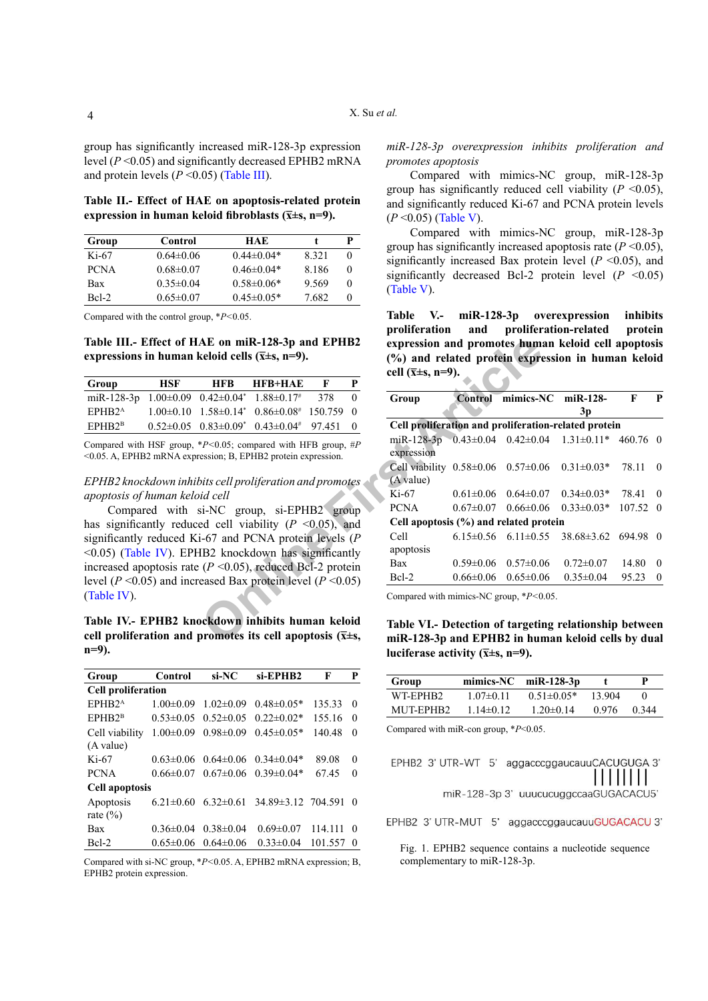group has significantly increased miR-128-3p expression level (*P* <0.05) and significantly decreased EPHB2 mRNA and protein levels  $(P \le 0.05)$  ([Table](#page-3-1) III).

<span id="page-3-0"></span>**Table II.- Effect of HAE on apoptosis-related protein**  expression in human keloid fibroblasts  $(\bar{x} \pm s, n=9)$ .

| Group       | Control         | HAE.             |         | P        |
|-------------|-----------------|------------------|---------|----------|
| $Ki-67$     | $0.64\pm0.06$   | $0.44\pm 0.04*$  | 8 3 2 1 | $\theta$ |
| <b>PCNA</b> | $0.68 \pm 0.07$ | $0.46 \pm 0.04*$ | 8 1 8 6 | 0        |
| Bax         | $0.35 \pm 0.04$ | $0.58 \pm 0.06*$ | 9.569   | 0        |
| $Rcl-2$     | $0.65 \pm 0.07$ | $0.45 \pm 0.05*$ | 7.682   | $\theta$ |

Compared with the control group, \**P<*0.05.

<span id="page-3-1"></span>**Table III.- Effect of HAE on miR-128-3p and EPHB2**  expressions in human keloid cells  $(\bar{x} \pm s, n=9)$ .

| Group                                                    | HSF | <b>HFR</b> | $HFR+HAF$                                             |     |  |
|----------------------------------------------------------|-----|------------|-------------------------------------------------------|-----|--|
| miR-128-3p $1.00\pm0.09$ $0.42\pm0.04^*$ $1.88\pm0.17^*$ |     |            |                                                       | 378 |  |
| EPHR <sub>2</sub> <sup>A</sup>                           |     |            | $1.00\pm0.10$ $1.58\pm0.14$ $0.86\pm0.08$ $150.759$ 0 |     |  |
| EPHR2 <sup>B</sup>                                       |     |            | $0.52\pm0.05$ $0.83\pm0.09^*$ $0.43\pm0.04^*$ 97.451  |     |  |

Compared with HSF group, \**P<*0.05; compared with HFB group, #*P* <0.05. A, EPHB2 mRNA expression; B, EPHB2 protein expression.

*EPHB2 knockdown inhibits cell proliferation and promotes apoptosis of human keloid cell*

Compared with si-NC group, si-EPHB2 group has significantly reduced cell viability  $(P \le 0.05)$ , and significantly reduced Ki-67 and PCNA protein levels (*P* <0.05) ([Table](#page-3-2) IV). EPHB2 knockdown has significantly increased apoptosis rate  $(P \le 0.05)$ , reduced Bcl-2 protein level ( $P \le 0.05$ ) and increased Bax protein level ( $P \le 0.05$ ) (Table IV).

<span id="page-3-2"></span>**Table IV.- EPHB2 knockdown inhibits human keloid**  cell proliferation and promotes its cell apoptosis  $(\bar{x} \pm s,$ **n=9).**

| Group                       | Control         | si-NC                       | $si$ -EPHB2        | F       | P        |
|-----------------------------|-----------------|-----------------------------|--------------------|---------|----------|
| <b>Cell proliferation</b>   |                 |                             |                    |         |          |
| EPHB2 <sup>A</sup>          | $1.00 \pm 0.09$ | $1.02 \pm 0.09$             | $0.48 \pm 0.05*$   | 135.33  | $\Omega$ |
| EPHB2 <sup>B</sup>          | $0.53 \pm 0.05$ | $0.52 \pm 0.05$             | $0.22 \pm 0.02*$   | 155.16  | $\Omega$ |
| Cell viability<br>(A value) | $1.00 \pm 0.09$ | $0.98 \pm 0.09$             | $0.45 \pm 0.05*$   | 140.48  | $\theta$ |
| $Ki-67$                     |                 | $0.63\pm0.06$ $0.64\pm0.06$ | $0.34\pm0.04*$     | 89.08   | $\Omega$ |
| <b>PCNA</b>                 | $0.66 \pm 0.07$ | $0.67 \pm 0.06$             | $0.39 \pm 0.04*$   | 6745    | $\Omega$ |
| <b>Cell apoptosis</b>       |                 |                             |                    |         |          |
| Apoptosis<br>rate $(\% )$   | $6.21 \pm 0.60$ | $6.32\pm0.61$               | 34.89±3.12 704.591 |         | $\Omega$ |
| Bax                         | $0.36 \pm 0.04$ | $0.38 \pm 0.04$             | $0.69 \pm 0.07$    | 114.111 | $\Omega$ |
| $Bcl-2$                     | $0.65 \pm 0.06$ | $0.64\pm0.06$               | $0.33 \pm 0.04$    | 101.557 | $\Omega$ |

Compared with si-NC group, \**P<*0.05. A, EPHB2 mRNA expression; B, EPHB2 protein expression.

*miR-128-3p overexpression inhibits proliferation and promotes apoptosis*

Compared with mimics-NC group, miR-128-3p group has significantly reduced cell viability  $(P \le 0.05)$ , and significantly reduced Ki-67 and PCNA protein levels (*P* <0.05) [\(Table](#page-3-3) V).

Compared with mimics-NC group, miR-128-3p group has significantly increased apoptosis rate  $(P \le 0.05)$ , significantly increased Bax protein level  $(P \le 0.05)$ , and significantly decreased Bcl-2 protein level  $(P \le 0.05)$ (Table V).

<span id="page-3-3"></span>**Table V.- miR-128-3p overexpression inhibits proliferation and proliferation-related protein expression and promotes human keloid cell apoptosis (%) and related protein expression in human keloid cell (x̅±s, n=9).**

| AE on miR-128-3p and EPHB2<br>celoid cells ( $\overline{x} \pm s$ , n=9). |                                                                                  |           | expression and promotes human keloid cell apoptosis<br>(%) and related protein expression in human keloid<br>cell $(\bar{x} \pm s, n=9)$ . |                                                                                                              |                 |                             |                            |                 |                |
|---------------------------------------------------------------------------|----------------------------------------------------------------------------------|-----------|--------------------------------------------------------------------------------------------------------------------------------------------|--------------------------------------------------------------------------------------------------------------|-----------------|-----------------------------|----------------------------|-----------------|----------------|
| <b>HFB</b>                                                                | <b>HFB+HAE</b>                                                                   | F         | P                                                                                                                                          |                                                                                                              |                 |                             |                            |                 |                |
| $0.42 \pm 0.04^*$                                                         | $1.88 \pm 0.17$ #                                                                | 378       | $\theta$                                                                                                                                   | Group                                                                                                        | <b>Control</b>  | mimics-NC                   | $miR-128-$                 | F               | P              |
| $1.58 \pm 0.14^*$                                                         | $0.86 \pm 0.08^{\text{*}}$                                                       | 150.759 0 |                                                                                                                                            |                                                                                                              |                 |                             | 3p                         |                 |                |
| $0.83 \pm 0.09^*$                                                         | $0.43 \pm 0.04$ #                                                                | 97.451    | $\theta$                                                                                                                                   | Cell proliferation and proliferation-related protein                                                         |                 |                             |                            |                 |                |
|                                                                           | $P<0.05$ ; compared with HFB group, #P<br>ession; B, EPHB2 protein expression.   |           |                                                                                                                                            | miR-128-3p $0.43\pm0.04$ $0.42\pm0.04$<br>expression                                                         |                 |                             | $1.31 \pm 0.11^*$ 460.76 0 |                 |                |
|                                                                           |                                                                                  |           |                                                                                                                                            | Cell viability $0.58\pm0.06$ $0.57\pm0.06$                                                                   |                 |                             | $0.31 \pm 0.03*$           | 78.11 0         |                |
|                                                                           | bits cell proliferation and promotes                                             |           |                                                                                                                                            | (A value)                                                                                                    |                 |                             |                            |                 |                |
| id cell                                                                   |                                                                                  |           |                                                                                                                                            | Ki-67                                                                                                        | $0.61 \pm 0.06$ | $0.64 \pm 0.07$             | $0.34 \pm 0.03*$           | 78.41           | $\overline{0}$ |
|                                                                           | si-NC group, si-EPHB2 group                                                      |           |                                                                                                                                            | PCNA                                                                                                         | $0.67 \pm 0.07$ | $0.66 \pm 0.06$             | $0.33 \pm 0.03*$           | 107.52 0        |                |
|                                                                           | ed cell viability ( $P \le 0.05$ ), and                                          |           |                                                                                                                                            | Cell apoptosis (%) and related protein                                                                       |                 |                             |                            |                 |                |
|                                                                           | $-67$ and PCNA protein levels (P                                                 |           |                                                                                                                                            | Cell                                                                                                         |                 | $6.15\pm0.56$ $6.11\pm0.55$ | $38.68 \pm 3.62$ 694.98 0  |                 |                |
|                                                                           | IB2 knockdown has significantly                                                  |           |                                                                                                                                            | apoptosis                                                                                                    |                 |                             |                            |                 |                |
|                                                                           | $(P \le 0.05)$ , reduced Bcl-2 protein                                           |           |                                                                                                                                            | Bax                                                                                                          | $0.59 \pm 0.06$ | $0.57 \pm 0.06$             | $0.72 \pm 0.07$            | 14.80           | $\overline{0}$ |
|                                                                           | eased Bax protein level ( $P \le 0.05$ )                                         |           |                                                                                                                                            | Bcl-2                                                                                                        | $0.66 \pm 0.06$ | $0.65 \pm 0.06$             | $0.35 \pm 0.04$            | $95.23 \quad 0$ |                |
|                                                                           |                                                                                  |           |                                                                                                                                            | Compared with mimics-NC group, $*P<0.05$ .                                                                   |                 |                             |                            |                 |                |
|                                                                           | ockdown inhibits human keloid<br>promotes its cell apoptosis ( $\bar{x} \pm s$ , |           |                                                                                                                                            | Table VI.- Detection of targeting relationship between<br>miR-128-3p and EPHB2 in human keloid cells by dual |                 |                             |                            |                 |                |

<span id="page-3-5"></span>**Table VI.- Detection of targeting relationship between miR-128-3p and EPHB2 in human keloid cells by dual luciferase activity**  $(\bar{x} \pm s, n=9)$ **.** 

| Group     |                | $minics-NC$ $miR-128-3p$ |        |       |
|-----------|----------------|--------------------------|--------|-------|
| WT-EPHB2  | $1.07\pm 0.11$ | $0.51 \pm 0.05*$         | 13 904 |       |
| MUT-EPHB2 | $114\pm 012$   | $1.20 \pm 0.14$          | 0.976  | 0.344 |

Compared with miR-con group, \**P*<0.05.

EPHB2 3' UTR-WT 5' aggacccggaucauuCACUGUGA 3'

miR-128-3p 3' uuucucuggccaaGUGACACU5'

EPHB2 3' UTR-MUT 5' aggacccggaucauuGUGACACU 3'

<span id="page-3-4"></span>Fig. 1. EPHB2 sequence contains a nucleotide sequence complementary to miR-128-3p.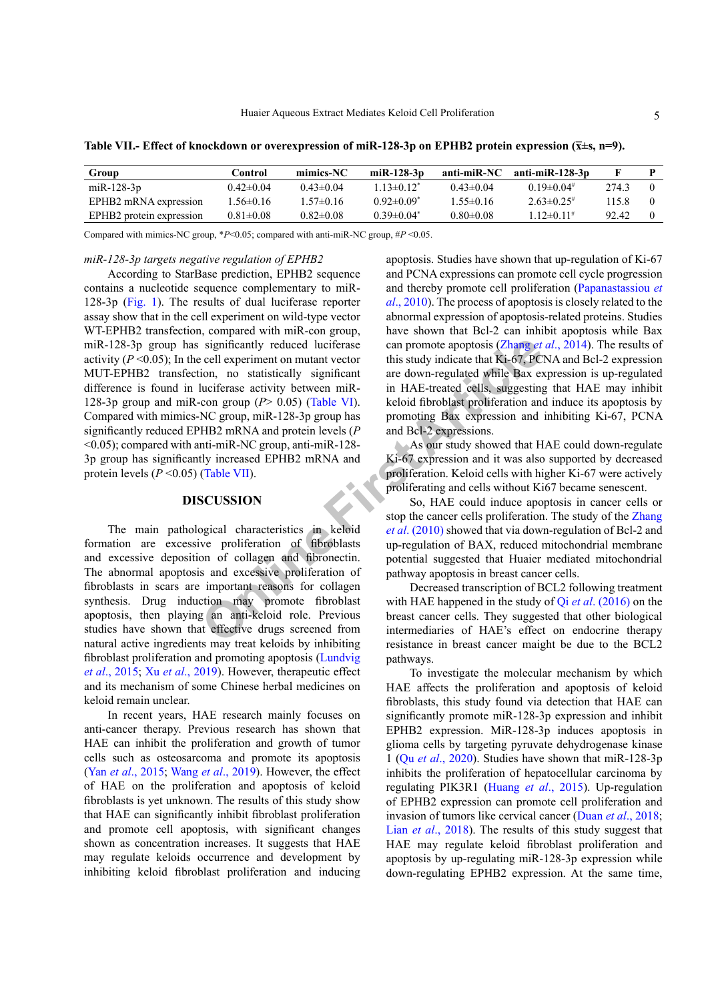| Group                                | Control         | mimics-NC       | miR-128- $3p$     | anti-miR-NC     | anti-miR-128-3p   |       |          |
|--------------------------------------|-----------------|-----------------|-------------------|-----------------|-------------------|-------|----------|
| miR-128-3 $p$                        | $0.42 \pm 0.04$ | $0.43 \pm 0.04$ | $13 \pm 0.12^*$   | $0.43 \pm 0.04$ | $0.19 \pm 0.04$   | 274.3 | $\Omega$ |
| EPHB2 mRNA expression                | $.56\pm0.16$    | $1.57 \pm 0.16$ | $0.92 \pm 0.09$   | $1.55 \pm 0.16$ | $2.63\pm0.25$     | 115 8 | $\theta$ |
| EPHB <sub>2</sub> protein expression | $0.81 \pm 0.08$ | $0.82 \pm 0.08$ | $0.39 \pm 0.04^*$ | $0.80 \pm 0.08$ | $1.12 \pm 0.11$ # | 92.42 | $\Omega$ |
|                                      |                 |                 |                   |                 |                   |       |          |

<span id="page-4-0"></span>**Table VII.- Effect of knockdown or overexpression of miR-128-3p on EPHB2 protein expression (x̅±s, n=9).**

Compared with mimics-NC group, \**P*<0.05; compared with anti-miR-NC group, #*P* <0.05.

#### *miR-128-3p targets negative regulation of EPHB2*

significantly reduced luciferase<br>
cell experiment on mutant vector<br>
this study indicate that Ki-67, PC<br>
ion, no statistically significant<br>
uciferase activity between miR-<br>
uciferase activity between miR-<br>
con group (P> 0.0 According to StarBase prediction, EPHB2 sequence contains a nucleotide sequence complementary to miR-128-3p ([Fig.](#page-3-4) 1). The results of dual luciferase reporter assay show that in the cell experiment on wild-type vector WT-EPHB2 transfection, compared with miR-con group, miR-128-3p group has significantly reduced luciferase activity  $(P \le 0.05)$ ; In the cell experiment on mutant vector MUT-EPHB2 transfection, no statistically significant difference is found in luciferase activity between miR-128-3p group and miR-con group (*P*> 0.05) (Table VI). Compared with mimics-NC group, miR-128-3p group has significantly reduced EPHB2 mRNA and protein levels (*P* <0.05); compared with anti-miR-NC group, anti-miR-128- 3p group has significantly increased EPHB2 mRNA and protein levels (*P* <0.05) (Table VII).

#### **DISCUSSION**

The main pathological characteristics in keloid formation are excessive proliferation of fibroblasts and excessive deposition of collagen and fibronectin. The abnormal apoptosis and excessive proliferation of fibroblasts in scars are important reasons for collagen synthesis. Drug induction may promote fibroblast apoptosis, then playing an anti-keloid role. Previous studies have shown that effective drugs screened from natural active ingredients may treat keloids by inhibiting fibroblast proliferation and promoting apoptosis [\(Lundvig](#page-5-4) *et al*[., 2015](#page-5-4); Xu *et al*[., 2019\)](#page-5-5). However, therapeutic effect and its mechanism of some Chinese herbal medicines on keloid remain unclear.

In recent years, HAE research mainly focuses on anti-cancer therapy. Previous research has shown that HAE can inhibit the proliferation and growth of tumor cells such as osteosarcoma and promote its apoptosis (Yan *et al*[., 2015](#page-6-2); Wang *et al*[., 2019](#page-5-6)). However, the effect of HAE on the proliferation and apoptosis of keloid fibroblasts is yet unknown. The results of this study show that HAE can significantly inhibit fibroblast proliferation and promote cell apoptosis, with significant changes shown as concentration increases. It suggests that HAE may regulate keloids occurrence and development by inhibiting keloid fibroblast proliferation and inducing

apoptosis. Studies have shown that up-regulation of Ki-67 and PCNA expressions can promote cell cycle progression and thereby promote cell proliferation [\(Papanastassiou](#page-5-7) *et al*[., 2010\)](#page-5-7). The process of apoptosis is closely related to the abnormal expression of apoptosis-related proteins. Studies have shown that Bcl-2 can inhibit apoptosis while Bax can promote apoptosis (Zhang *et al*., 2014). The results of this study indicate that Ki-67, PCNA and Bcl-2 expression are down-regulated while Bax expression is up-regulated in HAE-treated cells, suggesting that HAE may inhibit keloid fibroblast proliferation and induce its apoptosis by promoting Bax expression and inhibiting Ki-67, PCNA and Bcl-2 expressions.

As our study showed that HAE could down-regulate Ki-67 expression and it was also supported by decreased proliferation. Keloid cells with higher Ki-67 were actively proliferating and cells without Ki67 became senescent.

So, HAE could induce apoptosis in cancer cells or stop the cancer cells proliferation. The study of the [Zhang](#page-6-4) *et al*. (2010) showed that via down-regulation of Bcl-2 and up-regulation of BAX, reduced mitochondrial membrane potential suggested that Huaier mediated mitochondrial pathway apoptosis in breast cancer cells.

Decreased transcription of BCL2 following treatment with HAE happened in the study of Qi *et al*[. \(2016\)](#page-5-8) on the breast cancer cells. They suggested that other biological intermediaries of HAE's effect on endocrine therapy resistance in breast cancer maight be due to the BCL2 pathways.

To investigate the molecular mechanism by which HAE affects the proliferation and apoptosis of keloid fibroblasts, this study found via detection that HAE can significantly promote miR-128-3p expression and inhibit EPHB2 expression. MiR-128-3p induces apoptosis in glioma cells by targeting pyruvate dehydrogenase kinase 1 (Qu *et al*[., 2020\)](#page-5-9). Studies have shown that miR-128-3p inhibits the proliferation of hepatocellular carcinoma by regulating PIK3R1 (Huang *et al*[., 2015\)](#page-5-10). Up-regulation of EPHB2 expression can promote cell proliferation and invasion of tumors like cervical cancer (Duan *et al*[., 2018](#page-5-11); Lian *et al*[., 2018](#page-5-12)). The results of this study suggest that HAE may regulate keloid fibroblast proliferation and apoptosis by up-regulating miR-128-3p expression while down-regulating EPHB2 expression. At the same time,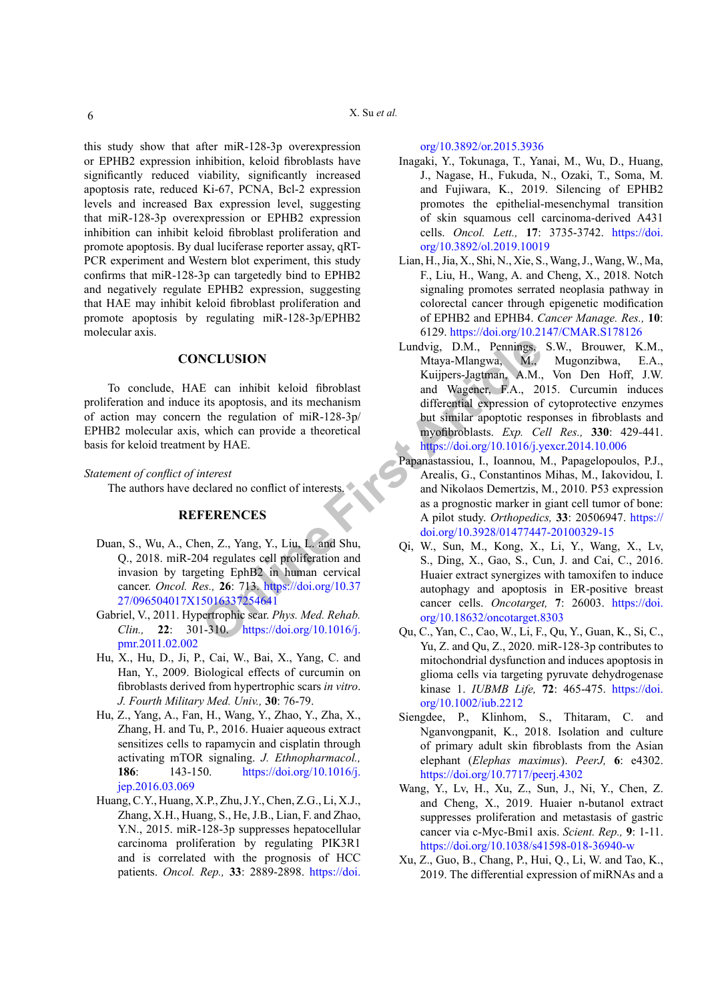this study show that after miR-128-3p overexpression or EPHB2 expression inhibition, keloid fibroblasts have significantly reduced viability, significantly increased apoptosis rate, reduced Ki-67, PCNA, Bcl-2 expression levels and increased Bax expression level, suggesting that miR-128-3p overexpression or EPHB2 expression inhibition can inhibit keloid fibroblast proliferation and promote apoptosis. By dual luciferase reporter assay, qRT-PCR experiment and Western blot experiment, this study confirms that miR-128-3p can targetedly bind to EPHB2 and negatively regulate EPHB2 expression, suggesting that HAE may inhibit keloid fibroblast proliferation and promote apoptosis by regulating miR-128-3p/EPHB2 molecular axis.

#### **CONCLUSION**

To conclude, HAE can inhibit keloid fibroblast proliferation and induce its apoptosis, and its mechanism of action may concern the regulation of miR-128-3p/ EPHB2 molecular axis, which can provide a theoretical basis for keloid treatment by HAE.

#### *Statement of conflict of interest*

The authors have declared no conflict of interests.

#### <span id="page-5-9"></span><span id="page-5-8"></span>**REFERENCES**

- <span id="page-5-11"></span>Duan, S., Wu, A., Chen, Z., Yang, Y., Liu, L. and Shu, Q., 2018. miR-204 regulates cell proliferation and invasion by targeting EphB2 in human cervical cancer. *Oncol. Res.,* **26**: 713. https://doi.org/10.37 [27/096504017X15016337254641](https://doi.org/10.3727/096504017X15016337254641)
- <span id="page-5-0"></span>Gabriel, V., 2011. Hypertrophic scar. *Phys. Med. Rehab. Clin.,* **22**: 301-310. https://doi.org/10.1016/j. [pmr.2011.02.002](https://doi.org/10.1016/j.pmr.2011.02.002)
- <span id="page-5-1"></span>Hu, X., Hu, D., Ji, P., Cai, W., Bai, X., Yang, C. and Han, Y., 2009. Biological effects of curcumin on fibroblasts derived from hypertrophic scars *in vitro*. *J. Fourth Military Med. Univ.,* **30**: 76-79.
- <span id="page-5-2"></span>Hu, Z., Yang, A., Fan, H., Wang, Y., Zhao, Y., Zha, X., Zhang, H. and Tu, P., 2016. Huaier aqueous extract sensitizes cells to rapamycin and cisplatin through activating mTOR signaling. *J. Ethnopharmacol.,* **186**: 143-150. [https://doi.org/10.1016/j.](https://doi.org/10.1016/j.jep.2016.03.069) [jep.2016.03.069](https://doi.org/10.1016/j.jep.2016.03.069)
- <span id="page-5-10"></span><span id="page-5-6"></span><span id="page-5-5"></span>Huang, C.Y., Huang, X.P., Zhu, J.Y., Chen, Z.G., Li, X.J., Zhang, X.H., Huang, S., He, J.B., Lian, F. and Zhao, Y.N., 2015. miR-128-3p suppresses hepatocellular carcinoma proliferation by regulating PIK3R1 and is correlated with the prognosis of HCC patients. *Oncol. Rep.,* **33**: 2889-2898. [https://doi.](https://doi.org/10.3892/or.2015.3936)

[org/10.3892/or.2015.3936](https://doi.org/10.3892/or.2015.3936)

- <span id="page-5-3"></span>Inagaki, Y., Tokunaga, T., Yanai, M., Wu, D., Huang, J., Nagase, H., Fukuda, N., Ozaki, T., Soma, M. and Fujiwara, K., 2019. Silencing of EPHB2 promotes the epithelial‑mesenchymal transition of skin squamous cell carcinoma‑derived A431 cells. *Oncol. Lett.,* **17**: 3735-3742. [https://doi.](https://doi.org/10.3892/ol.2019.10019) [org/10.3892/ol.2019.10019](https://doi.org/10.3892/ol.2019.10019)
- <span id="page-5-12"></span><span id="page-5-7"></span><span id="page-5-4"></span>Lian, H., Jia, X., Shi, N., Xie, S., Wang, J., Wang, W., Ma, F., Liu, H., Wang, A. and Cheng, X., 2018. Notch signaling promotes serrated neoplasia pathway in colorectal cancer through epigenetic modification of EPHB2 and EPHB4. *Cancer Manage. Res.,* **10**: 6129.<https://doi.org/10.2147/CMAR.S178126>
- **SIMPLE C[O](https://doi.org/10.1016/j.pmr.2011.02.002)NFIDENTIFY:** Can inhibit keloid fibroblast<br>
E can inhibit keloid fibroblast<br>
Its apoptosis, and its mechanism<br>
the regulation of miR-128-3p/<br>
the similar apoptotic respectively haden in the regulation of miR-128-Lundvig, D.M., Pennings, S.W., Brouwer, K.M., Mtaya-Mlangwa, M., Mugonzibwa, E.A., Kuijpers-Jagtman, A.M., Von Den Hoff, J.W. and Wagener, F.A., 2015. Curcumin induces differential expression of cytoprotective enzymes but similar apoptotic responses in fibroblasts and myofibroblasts. *Exp. Cell Res.,* **330**: 429-441. <https://doi.org/10.1016/j.yexcr.2014.10.006>
	- Papanastassiou, I., Ioannou, M., Papagelopoulos, P.J., Arealis, G., Constantinos Mihas, M., Iakovidou, I. and Nikolaos Demertzis, M., 2010. P53 expression as a prognostic marker in giant cell tumor of bone: A pilot study. *Orthopedics,* **33**: 20506947. [https://](https://doi.org/10.3928/01477447-20100329-15) [doi.org/10.3928/01477447-20100329-15](https://doi.org/10.3928/01477447-20100329-15)
	- Qi, W., Sun, M., Kong, X., Li, Y., Wang, X., Lv, S., Ding, X., Gao, S., Cun, J. and Cai, C., 2016. Huaier extract synergizes with tamoxifen to induce autophagy and apoptosis in ER-positive breast cancer cells. *Oncotarget,* **7**: 26003. [https://doi.](https://doi.org/10.18632/oncotarget.8303) org/10.18632/oncotarget.8303
	- Qu, C., Yan, C., Cao, W., Li, F., Qu, Y., Guan, K., Si, C., Yu, Z. and Qu, Z., 2020. miR-128-3p contributes to mitochondrial dysfunction and induces apoptosis in glioma cells via targeting pyruvate dehydrogenase kinase 1. *IUBMB Life,* **72**: 465-475. [https://doi.](https://doi.org/10.1002/iub.2212) [org/10.1002/iub.2212](https://doi.org/10.1002/iub.2212)
	- Siengdee, P., Klinhom, S., Thitaram, C. and Nganvongpanit, K., 2018. Isolation and culture of primary adult skin fibroblasts from the Asian elephant (*Elephas maximus*). *PeerJ,* **6**: e4302. <https://doi.org/10.7717/peerj.4302>
	- Wang, Y., Lv, H., Xu, Z., Sun, J., Ni, Y., Chen, Z. and Cheng, X., 2019. Huaier n-butanol extract suppresses proliferation and metastasis of gastric cancer via c-Myc-Bmi1 axis. *Scient. Rep.,* **9**: 1-11. <https://doi.org/10.1038/s41598-018-36940-w>
	- Xu, Z., Guo, B., Chang, P., Hui, Q., Li, W. and Tao, K., 2019. The differential expression of miRNAs and a